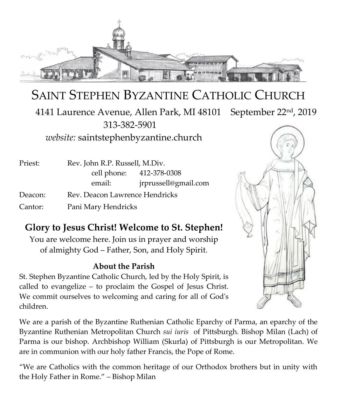

# SAINT STEPHEN BYZANTINE CATHOLIC CHURCH

 4141 Laurence Avenue, Allen Park, MI 48101 September 22nd, 2019 313-382-5901

*website:* saintstephenbyzantine.church

| Priest: | Rev. John R.P. Russell, M.Div. |                          |
|---------|--------------------------------|--------------------------|
|         |                                | cell phone: 412-378-0308 |
|         | email:                         | jrprussell@gmail.com     |
| Deacon: | Rev. Deacon Lawrence Hendricks |                          |
| Cantor: | Pani Mary Hendricks            |                          |

## **Glory to Jesus Christ! Welcome to St. Stephen!**

You are welcome here. Join us in prayer and worship of almighty God – Father, Son, and Holy Spirit.

### **About the Parish**

St. Stephen Byzantine Catholic Church, led by the Holy Spirit, is called to evangelize – to proclaim the Gospel of Jesus Christ. We commit ourselves to welcoming and caring for all of God's children.

We are a parish of the Byzantine Ruthenian Catholic Eparchy of Parma, an eparchy of the Byzantine Ruthenian Metropolitan Church *sui iuris* of Pittsburgh. Bishop Milan (Lach) of Parma is our bishop. Archbishop William (Skurla) of Pittsburgh is our Metropolitan. We are in communion with our holy father Francis, the Pope of Rome.

"We are Catholics with the common heritage of our Orthodox brothers but in unity with the Holy Father in Rome." – Bishop Milan

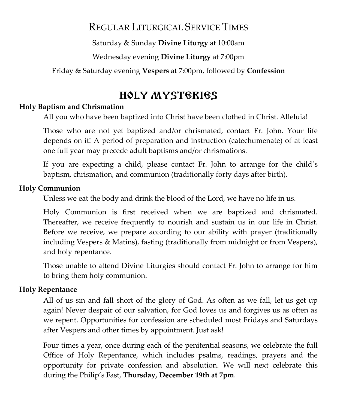## REGULAR LITURGICAL SERVICE TIMES

Saturday & Sunday **Divine Liturgy** at 10:00am

Wednesday evening **Divine Liturgy** at 7:00pm

Friday & Saturday evening **Vespers** at 7:00pm, followed by **Confession**

## HOLY MYSTERIES

### **Holy Baptism and Chrismation**

All you who have been baptized into Christ have been clothed in Christ. Alleluia!

Those who are not yet baptized and/or chrismated, contact Fr. John. Your life depends on it! A period of preparation and instruction (catechumenate) of at least one full year may precede adult baptisms and/or chrismations.

If you are expecting a child, please contact Fr. John to arrange for the child's baptism, chrismation, and communion (traditionally forty days after birth).

#### **Holy Communion**

Unless we eat the body and drink the blood of the Lord, we have no life in us.

Holy Communion is first received when we are baptized and chrismated. Thereafter, we receive frequently to nourish and sustain us in our life in Christ. Before we receive, we prepare according to our ability with prayer (traditionally including Vespers & Matins), fasting (traditionally from midnight or from Vespers), and holy repentance.

Those unable to attend Divine Liturgies should contact Fr. John to arrange for him to bring them holy communion.

### **Holy Repentance**

All of us sin and fall short of the glory of God. As often as we fall, let us get up again! Never despair of our salvation, for God loves us and forgives us as often as we repent. Opportunities for confession are scheduled most Fridays and Saturdays after Vespers and other times by appointment. Just ask!

Four times a year, once during each of the penitential seasons, we celebrate the full Office of Holy Repentance, which includes psalms, readings, prayers and the opportunity for private confession and absolution. We will next celebrate this during the Philip's Fast, **Thursday, December 19th at 7pm**.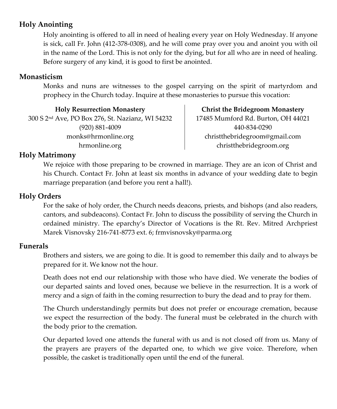## **Holy Anointing**

Holy anointing is offered to all in need of healing every year on Holy Wednesday. If anyone is sick, call Fr. John (412-378-0308), and he will come pray over you and anoint you with oil in the name of the Lord. This is not only for the dying, but for all who are in need of healing. Before surgery of any kind, it is good to first be anointed.

#### **Monasticism**

Monks and nuns are witnesses to the gospel carrying on the spirit of martyrdom and prophecy in the Church today. Inquire at these monasteries to pursue this vocation:

**Holy Resurrection Monastery** 300 S 2nd Ave, PO Box 276, St. Nazianz, WI 54232 (920) 881-4009 monks@hrmonline.org hrmonline.org

**Christ the Bridegroom Monastery** 17485 Mumford Rd. Burton, OH 44021 440-834-0290 christthebridegroom@gmail.com christthebridegroom.org

#### **Holy Matrimony**

We rejoice with those preparing to be crowned in marriage. They are an icon of Christ and his Church. Contact Fr. John at least six months in advance of your wedding date to begin marriage preparation (and before you rent a hall!).

#### **Holy Orders**

For the sake of holy order, the Church needs deacons, priests, and bishops (and also readers, cantors, and subdeacons). Contact Fr. John to discuss the possibility of serving the Church in ordained ministry. The eparchy's Director of Vocations is the Rt. Rev. Mitred Archpriest Marek Visnovsky 216-741-8773 ext. 6; frmvisnovsky@parma.org

#### **Funerals**

Brothers and sisters, we are going to die. It is good to remember this daily and to always be prepared for it. We know not the hour.

Death does not end our relationship with those who have died. We venerate the bodies of our departed saints and loved ones, because we believe in the resurrection. It is a work of mercy and a sign of faith in the coming resurrection to bury the dead and to pray for them.

The Church understandingly permits but does not prefer or encourage cremation, because we expect the resurrection of the body. The funeral must be celebrated in the church with the body prior to the cremation.

Our departed loved one attends the funeral with us and is not closed off from us. Many of the prayers are prayers of the departed one, to which we give voice. Therefore, when possible, the casket is traditionally open until the end of the funeral.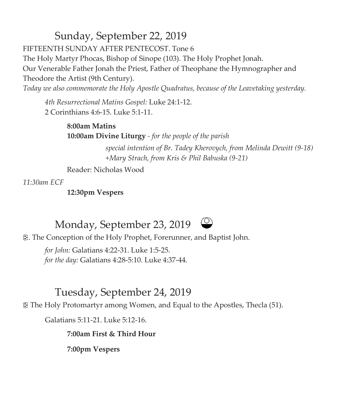# Sunday, September 22, 2019

FIFTEENTH SUNDAY AFTER PENTECOST. Tone 6

The Holy Martyr Phocas, Bishop of Sinope (103). The Holy Prophet Jonah.

Our Venerable Father Jonah the Priest, Father of Theophane the Hymnographer and Theodore the Artist (9th Century).

*Today we also commemorate the Holy Apostle Quadratus, because of the Leavetaking yesterday.*

*4th Resurrectional Matins Gospel:* Luke 24:1-12. 2 Corinthians 4:6-15. Luke 5:1-11.

> **8:00am Matins 10:00am Divine Liturgy** *- for the people of the parish*

> > *special intention of Br. Tadey Kherovych, from Melinda Dewitt (9-18) +Mary Strach, from Kris & Phil Babuska (9-21)*

Reader: Nicholas Wood

*11:30am ECF*

**12:30pm Vespers**

# Monday, September 23, 2019



. The Conception of the Holy Prophet, Forerunner, and Baptist John.

*for John:* Galatians 4:22-31. Luke 1:5-25. *for the day:* Galatians 4:28-5:10. Luke 4:37-44.

# Tuesday, September 24, 2019

The Holy Protomartyr among Women, and Equal to the Apostles, Thecla (51).

Galatians 5:11-21. Luke 5:12-16.

**7:00am First & Third Hour**

**7:00pm Vespers**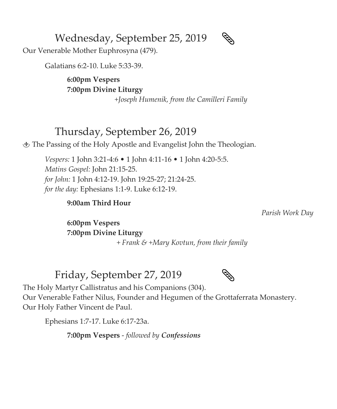Wednesday, September 25, 2019

Our Venerable Mother Euphrosyna (479).

Galatians 6:2-10. Luke 5:33-39.

**6:00pm Vespers 7:00pm Divine Liturgy**

*+Joseph Humenik, from the Camilleri Family*

## Thursday, September 26, 2019

The Passing of the Holy Apostle and Evangelist John the Theologian.

*Vespers:* 1 John 3:21-4:6 • 1 John 4:11-16 • 1 John 4:20-5:5. *Matins Gospel:* John 21:15-25. *for John:* 1 John 4:12-19. John 19:25-27; 21:24-25. *for the day:* Ephesians 1:1-9. Luke 6:12-19.

### **9:00am Third Hour**

*Parish Work Day*

**6:00pm Vespers 7:00pm Divine Liturgy** *+ Frank & +Mary Kovtun, from their family*

## Friday, September 27, 2019



The Holy Martyr Callistratus and his Companions (304).

Our Venerable Father Nilus, Founder and Hegumen of the Grottaferrata Monastery. Our Holy Father Vincent de Paul.

Ephesians 1:7-17. Luke 6:17-23a.

**7:00pm Vespers** - *followed by Confessions*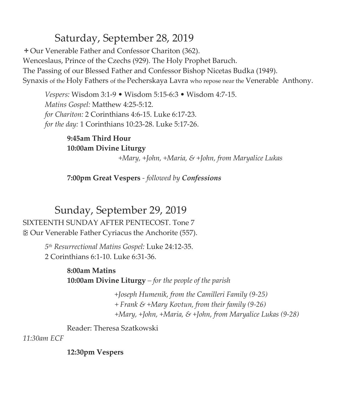# Saturday, September 28, 2019

Our Venerable Father and Confessor Chariton (362). Wenceslaus, Prince of the Czechs (929). The Holy Prophet Baruch. The Passing of our Blessed Father and Confessor Bishop Nicetas Budka (1949). Synaxis of the Holy Fathers of the Pecherskaya Lavra who repose near the Venerable Anthony.

*Vespers:* Wisdom 3:1-9 • Wisdom 5:15-6:3 • Wisdom 4:7-15. *Matins Gospel:* Matthew 4:25-5:12. *for Chariton:* 2 Corinthians 4:6-15. Luke 6:17-23. *for the day:* 1 Corinthians 10:23-28. Luke 5:17-26.

> **9:45am Third Hour 10:00am Divine Liturgy**

> > *+Mary, +John, +Maria, & +John, from Maryalice Lukas*

**7:00pm Great Vespers** *- followed by Confessions*

Sunday, September 29, 2019 SIXTEENTH SUNDAY AFTER PENTECOST. Tone 7 Our Venerable Father Cyriacus the Anchorite (557).

> *5 th Resurrectional Matins Gospel:* Luke 24:12-35. 2 Corinthians 6:1-10. Luke 6:31-36.

> > **8:00am Matins 10:00am Divine Liturgy** *– for the people of the parish*

> > > *+Joseph Humenik, from the Camilleri Family (9-25) + Frank & +Mary Kovtun, from their family (9-26) +Mary, +John, +Maria, & +John, from Maryalice Lukas (9-28)*

Reader: Theresa Szatkowski

*11:30am ECF*

**12:30pm Vespers**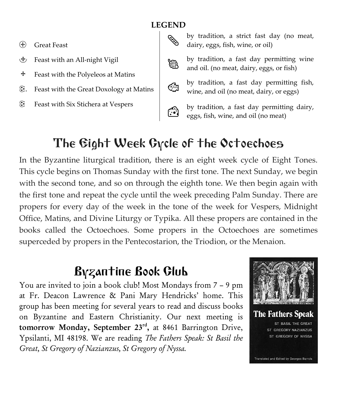## **LEGEND**

- Great Feast
- Feast with an All-night Vigil
- $\pm$  Feast with the Polyeleos at Matins
- . Feast with the Great Doxology at Matins
- Feast with Six Stichera at Vespers



by tradition, a strict fast day (no meat, dairy, eggs, fish, wine, or oil)

by tradition, a fast day permitting wine and oil. (no meat, dairy, eggs, or fish)



by tradition, a fast day permitting fish, wine, and oil (no meat, dairy, or eggs)

by tradition, a fast day permitting dairy, eggs, fish, wine, and oil (no meat)

# The Eight Week Cycle of the Octoechoes

In the Byzantine liturgical tradition, there is an eight week cycle of Eight Tones. This cycle begins on Thomas Sunday with the first tone. The next Sunday, we begin with the second tone, and so on through the eighth tone. We then begin again with the first tone and repeat the cycle until the week preceding Palm Sunday. There are propers for every day of the week in the tone of the week for Vespers, Midnight Office, Matins, and Divine Liturgy or Typika. All these propers are contained in the books called the Octoechoes. Some propers in the Octoechoes are sometimes superceded by propers in the Pentecostarion, the Triodion, or the Menaion.

# Byzantine Book Club

You are invited to join a book club! Most Mondays from 7 – 9 pm at Fr. Deacon Lawrence & Pani Mary Hendricks' home. This group has been meeting for several years to read and discuss books on Byzantine and Eastern Christianity. Our next meeting is tomorrow Monday, September 23<sup>rd</sup>, at 8461 Barrington Drive, Ypsilanti, MI 48198. We are reading *The Fathers Speak: St Basil the Great, St Gregory of Nazianzus, St Gregory of Nyssa.*



Translated and Edited by Georges Barrois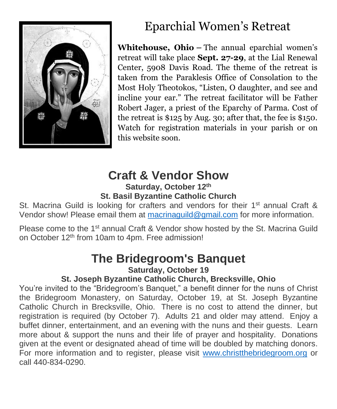

# Eparchial Women's Retreat

**Whitehouse, Ohio** *–* The annual eparchial women's retreat will take place **Sept. 27-29**, at the Lial Renewal Center, 5908 Davis Road. The theme of the retreat is taken from the Paraklesis Office of Consolation to the Most Holy Theotokos, "Listen, O daughter, and see and incline your ear." The retreat facilitator will be Father Robert Jager, a priest of the Eparchy of Parma. Cost of the retreat is \$125 by Aug. 30; after that, the fee is \$150. Watch for registration materials in your parish or on this website soon.

# **Craft & Vendor Show**

## **Saturday, October 12th St. Basil Byzantine Catholic Church**

St. Macrina Guild is looking for crafters and vendors for their 1<sup>st</sup> annual Craft & Vendor show! Please email them at [macrinaguild@gmail.com](mailto:macrinaguild@gmail.com) for more information.

Please come to the 1<sup>st</sup> annual Craft & Vendor show hosted by the St. Macrina Guild on October 12<sup>th</sup> from 10am to 4pm. Free admission!

# **The Bridegroom's Banquet Saturday, October 19**

## **St. Joseph Byzantine Catholic Church, Brecksville, Ohio**

You're invited to the "Bridegroom's Banquet," a benefit dinner for the nuns of Christ the Bridegroom Monastery, on Saturday, October 19, at St. Joseph Byzantine Catholic Church in Brecksville, Ohio. There is no cost to attend the dinner, but registration is required (by October 7). Adults 21 and older may attend. Enjoy a buffet dinner, entertainment, and an evening with the nuns and their guests. Learn more about & support the nuns and their life of prayer and hospitality. Donations given at the event or designated ahead of time will be doubled by matching donors. For more information and to register, please visit [www.christthebridegroom.org](http://www.christthebridegroom.org/) or call 440-834-0290.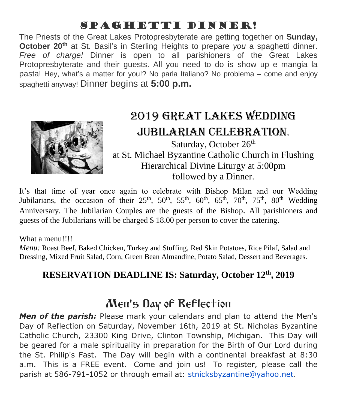# Spaghetti Dinner!

The Priests of the Great Lakes Protopresbyterate are getting together on **Sunday, October 20th** at St. Basil's in Sterling Heights to prepare *you* a spaghetti dinner. *Free of charge!* Dinner is open to all parishioners of the Great Lakes Protopresbyterate and their guests. All you need to do is show up e mangia la pasta! Hey, what's a matter for you!? No parla Italiano? No problema – come and enjoy spaghetti anyway! Dinner begins at **5:00 p.m.**



# 2019 Great Lakes Wedding Jubilarian Celebration. Saturday, October 26<sup>th</sup>

at St. Michael Byzantine Catholic Church in Flushing Hierarchical Divine Liturgy at 5:00pm followed by a Dinner.

It's that time of year once again to celebrate with Bishop Milan and our Wedding Jubilarians, the occasion of their  $25<sup>th</sup>$ ,  $50<sup>th</sup>$ ,  $55<sup>th</sup>$ ,  $60<sup>th</sup>$ ,  $65<sup>th</sup>$ ,  $70<sup>th</sup>$ ,  $75<sup>th</sup>$ ,  $80<sup>th</sup>$  Wedding Anniversary. The Jubilarian Couples are the guests of the Bishop. All parishioners and guests of the Jubilarians will be charged \$ 18.00 per person to cover the catering.

### What a menu!!!!

*Menu:* Roast Beef, Baked Chicken, Turkey and Stuffing, Red Skin Potatoes, Rice Pilaf, Salad and Dressing, Mixed Fruit Salad, Corn, Green Bean Almandine, Potato Salad, Dessert and Beverages.

## **RESERVATION DEADLINE IS: Saturday, October 12th, 2019**

# Men's Day of Reflection

*Men of the parish:* Please mark your calendars and plan to attend the Men's Day of Reflection on Saturday, November 16th, 2019 at St. Nicholas Byzantine Catholic Church, 23300 King Drive, Clinton Township, Michigan. This Day will be geared for a male spirituality in preparation for the Birth of Our Lord during the St. Philip's Fast. The Day will begin with a continental breakfast at 8:30 a.m. This is a FREE event. Come and join us! To register, please call the parish at 586-791-1052 or through email at: [stnicksbyzantine@yahoo.net.](mailto:stnicksbyzantine@yahoo.net)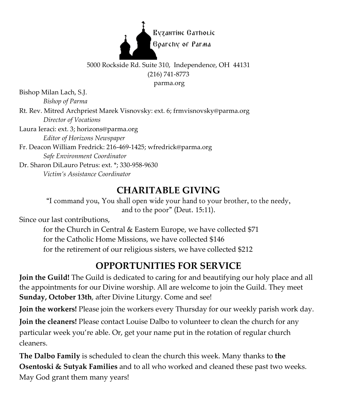

## 5000 Rockside Rd. Suite 310, Independence, OH 44131 (216) 741-8773

parma.org

Bishop Milan Lach, S.J. *Bishop of Parma*

Rt. Rev. Mitred Archpriest Marek Visnovsky: ext. 6; frmvisnovsky@parma.org *Director of Vocations*

Laura Ieraci: ext. 3; horizons@parma.org *Editor of Horizons Newspaper*

Fr. Deacon William Fredrick: 216-469-1425; wfredrick@parma.org *Safe Environment Coordinator*

Dr. Sharon DiLauro Petrus: ext. \*; 330-958-9630 *Victim's Assistance Coordinator*

## **CHARITABLE GIVING**

"I command you, You shall open wide your hand to your brother, to the needy, and to the poor" (Deut. 15:11).

Since our last contributions,

for the Church in Central & Eastern Europe, we have collected \$71 for the Catholic Home Missions, we have collected \$146 for the retirement of our religious sisters, we have collected \$212

# **OPPORTUNITIES FOR SERVICE**

**Join the Guild!** The Guild is dedicated to caring for and beautifying our holy place and all the appointments for our Divine worship. All are welcome to join the Guild. They meet **Sunday, October 13th**, after Divine Liturgy. Come and see!

**Join the workers!** Please join the workers every Thursday for our weekly parish work day.

**Join the cleaners!** Please contact Louise Dalbo to volunteer to clean the church for any particular week you're able. Or, get your name put in the rotation of regular church cleaners.

**The Dalbo Family** is scheduled to clean the church this week. Many thanks to **the Osentoski & Sutyak Families** and to all who worked and cleaned these past two weeks. May God grant them many years!